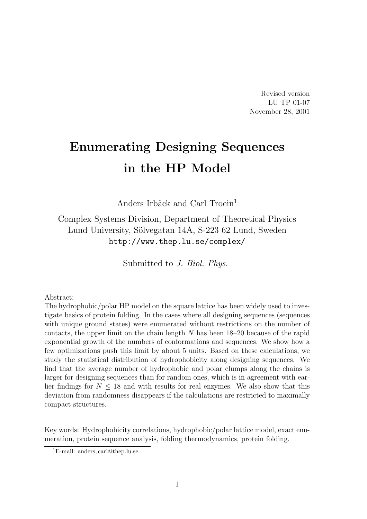Revised version LU TP 01-07 November 28, 2001

# Enumerating Designing Sequences in the HP Model

Anders Irbäck and Carl Troein<sup>1</sup>

Complex Systems Division, Department of Theoretical Physics Lund University, Sölvegatan 14A, S-223 62 Lund, Sweden http://www.thep.lu.se/complex/

Submitted to J. Biol. Phys.

#### Abstract:

The hydrophobic/polar HP model on the square lattice has been widely used to investigate basics of protein folding. In the cases where all designing sequences (sequences with unique ground states) were enumerated without restrictions on the number of contacts, the upper limit on the chain length  $N$  has been  $18-20$  because of the rapid exponential growth of the numbers of conformations and sequences. We show how a few optimizations push this limit by about 5 units. Based on these calculations, we study the statistical distribution of hydrophobicity along designing sequences. We find that the average number of hydrophobic and polar clumps along the chains is larger for designing sequences than for random ones, which is in agreement with earlier findings for  $N \leq 18$  and with results for real enzymes. We also show that this deviation from randomness disappears if the calculations are restricted to maximally compact structures.

Key words: Hydrophobicity correlations, hydrophobic/polar lattice model, exact enumeration, protein sequence analysis, folding thermodynamics, protein folding.

<sup>1</sup>E-mail: anders, carl@thep.lu.se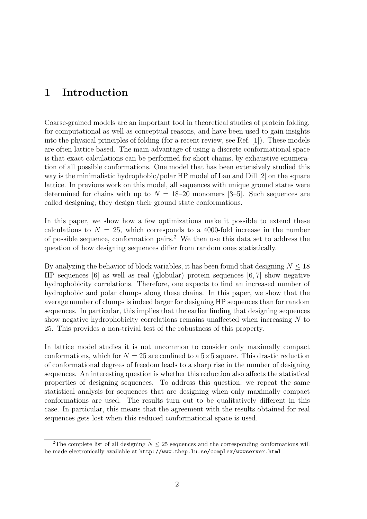# 1 Introduction

Coarse-grained models are an important tool in theoretical studies of protein folding, for computational as well as conceptual reasons, and have been used to gain insights into the physical principles of folding (for a recent review, see Ref. [1]). These models are often lattice based. The main advantage of using a discrete conformational space is that exact calculations can be performed for short chains, by exhaustive enumeration of all possible conformations. One model that has been extensively studied this way is the minimalistic hydrophobic/polar HP model of Lau and Dill [2] on the square lattice. In previous work on this model, all sequences with unique ground states were determined for chains with up to  $N = 18$ –20 monomers [3–5]. Such sequences are called designing; they design their ground state conformations.

In this paper, we show how a few optimizations make it possible to extend these calculations to  $N = 25$ , which corresponds to a 4000-fold increase in the number of possible sequence, conformation pairs.<sup>2</sup> We then use this data set to address the question of how designing sequences differ from random ones statistically.

By analyzing the behavior of block variables, it has been found that designing  $N \leq 18$ HP sequences [6] as well as real (globular) protein sequences [6, 7] show negative hydrophobicity correlations. Therefore, one expects to find an increased number of hydrophobic and polar clumps along these chains. In this paper, we show that the average number of clumps is indeed larger for designing HP sequences than for random sequences. In particular, this implies that the earlier finding that designing sequences show negative hydrophobicity correlations remains unaffected when increasing N to 25. This provides a non-trivial test of the robustness of this property.

In lattice model studies it is not uncommon to consider only maximally compact conformations, which for  $N = 25$  are confined to a  $5 \times 5$  square. This drastic reduction of conformational degrees of freedom leads to a sharp rise in the number of designing sequences. An interesting question is whether this reduction also affects the statistical properties of designing sequences. To address this question, we repeat the same statistical analysis for sequences that are designing when only maximally compact conformations are used. The results turn out to be qualitatively different in this case. In particular, this means that the agreement with the results obtained for real sequences gets lost when this reduced conformational space is used.

<sup>&</sup>lt;sup>2</sup>The complete list of all designing  $N \leq 25$  sequences and the corresponding conformations will be made electronically available at http://www.thep.lu.se/complex/wwwserver.html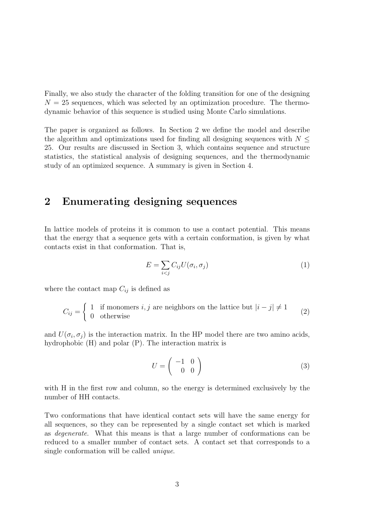Finally, we also study the character of the folding transition for one of the designing  $N = 25$  sequences, which was selected by an optimization procedure. The thermodynamic behavior of this sequence is studied using Monte Carlo simulations.

The paper is organized as follows. In Section 2 we define the model and describe the algorithm and optimizations used for finding all designing sequences with  $N \leq$ 25. Our results are discussed in Section 3, which contains sequence and structure statistics, the statistical analysis of designing sequences, and the thermodynamic study of an optimized sequence. A summary is given in Section 4.

# 2 Enumerating designing sequences

In lattice models of proteins it is common to use a contact potential. This means that the energy that a sequence gets with a certain conformation, is given by what contacts exist in that conformation. That is,

$$
E = \sum_{i < j} C_{ij} U(\sigma_i, \sigma_j) \tag{1}
$$

where the contact map  $C_{ij}$  is defined as

$$
C_{ij} = \begin{cases} 1 & \text{if monomers } i, j \text{ are neighbors on the lattice but } |i - j| \neq 1 \\ 0 & \text{otherwise} \end{cases}
$$
 (2)

and  $U(\sigma_i, \sigma_j)$  is the interaction matrix. In the HP model there are two amino acids, hydrophobic (H) and polar (P). The interaction matrix is

$$
U = \left(\begin{array}{cc} -1 & 0\\ 0 & 0 \end{array}\right) \tag{3}
$$

with H in the first row and column, so the energy is determined exclusively by the number of HH contacts.

Two conformations that have identical contact sets will have the same energy for all sequences, so they can be represented by a single contact set which is marked as degenerate. What this means is that a large number of conformations can be reduced to a smaller number of contact sets. A contact set that corresponds to a single conformation will be called unique.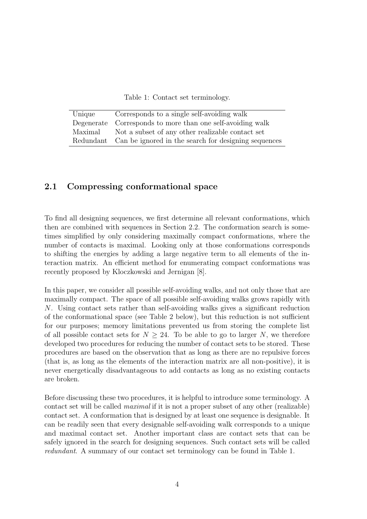Table 1: Contact set terminology.

| Unique  | Corresponds to a single self-avoiding walk                     |
|---------|----------------------------------------------------------------|
|         | Degenerate Corresponds to more than one self-avoiding walk     |
| Maximal | Not a subset of any other realizable contact set               |
|         | Redundant Can be ignored in the search for designing sequences |

## 2.1 Compressing conformational space

To find all designing sequences, we first determine all relevant conformations, which then are combined with sequences in Section 2.2. The conformation search is sometimes simplified by only considering maximally compact conformations, where the number of contacts is maximal. Looking only at those conformations corresponds to shifting the energies by adding a large negative term to all elements of the interaction matrix. An efficient method for enumerating compact conformations was recently proposed by Kloczkowski and Jernigan [8].

In this paper, we consider all possible self-avoiding walks, and not only those that are maximally compact. The space of all possible self-avoiding walks grows rapidly with N. Using contact sets rather than self-avoiding walks gives a significant reduction of the conformational space (see Table 2 below), but this reduction is not sufficient for our purposes; memory limitations prevented us from storing the complete list of all possible contact sets for  $N > 24$ . To be able to go to larger N, we therefore developed two procedures for reducing the number of contact sets to be stored. These procedures are based on the observation that as long as there are no repulsive forces (that is, as long as the elements of the interaction matrix are all non-positive), it is never energetically disadvantageous to add contacts as long as no existing contacts are broken.

Before discussing these two procedures, it is helpful to introduce some terminology. A contact set will be called maximal if it is not a proper subset of any other (realizable) contact set. A conformation that is designed by at least one sequence is designable. It can be readily seen that every designable self-avoiding walk corresponds to a unique and maximal contact set. Another important class are contact sets that can be safely ignored in the search for designing sequences. Such contact sets will be called redundant. A summary of our contact set terminology can be found in Table 1.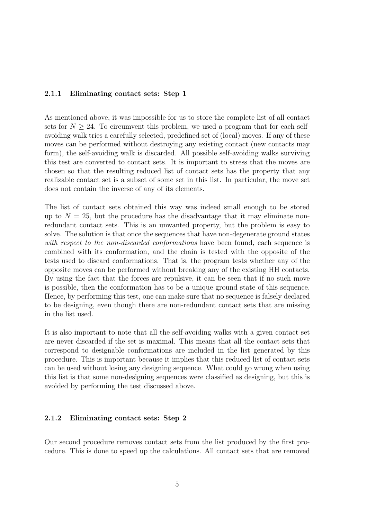#### 2.1.1 Eliminating contact sets: Step 1

As mentioned above, it was impossible for us to store the complete list of all contact sets for  $N \geq 24$ . To circumvent this problem, we used a program that for each selfavoiding walk tries a carefully selected, predefined set of (local) moves. If any of these moves can be performed without destroying any existing contact (new contacts may form), the self-avoiding walk is discarded. All possible self-avoiding walks surviving this test are converted to contact sets. It is important to stress that the moves are chosen so that the resulting reduced list of contact sets has the property that any realizable contact set is a subset of some set in this list. In particular, the move set does not contain the inverse of any of its elements.

The list of contact sets obtained this way was indeed small enough to be stored up to  $N = 25$ , but the procedure has the disadvantage that it may eliminate nonredundant contact sets. This is an unwanted property, but the problem is easy to solve. The solution is that once the sequences that have non-degenerate ground states with respect to the non-discarded conformations have been found, each sequence is combined with its conformation, and the chain is tested with the opposite of the tests used to discard conformations. That is, the program tests whether any of the opposite moves can be performed without breaking any of the existing HH contacts. By using the fact that the forces are repulsive, it can be seen that if no such move is possible, then the conformation has to be a unique ground state of this sequence. Hence, by performing this test, one can make sure that no sequence is falsely declared to be designing, even though there are non-redundant contact sets that are missing in the list used.

It is also important to note that all the self-avoiding walks with a given contact set are never discarded if the set is maximal. This means that all the contact sets that correspond to designable conformations are included in the list generated by this procedure. This is important because it implies that this reduced list of contact sets can be used without losing any designing sequence. What could go wrong when using this list is that some non-designing sequences were classified as designing, but this is avoided by performing the test discussed above.

#### 2.1.2 Eliminating contact sets: Step 2

Our second procedure removes contact sets from the list produced by the first procedure. This is done to speed up the calculations. All contact sets that are removed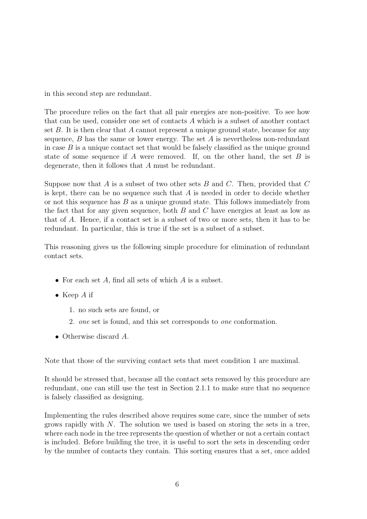in this second step are redundant.

The procedure relies on the fact that all pair energies are non-positive. To see how that can be used, consider one set of contacts A which is a subset of another contact set B. It is then clear that A cannot represent a unique ground state, because for any sequence,  $B$  has the same or lower energy. The set  $A$  is nevertheless non-redundant in case  $B$  is a unique contact set that would be falsely classified as the unique ground state of some sequence if A were removed. If, on the other hand, the set  $B$  is degenerate, then it follows that A must be redundant.

Suppose now that A is a subset of two other sets B and C. Then, provided that C is kept, there can be no sequence such that  $A$  is needed in order to decide whether or not this sequence has  $B$  as a unique ground state. This follows immediately from the fact that for any given sequence, both  $B$  and  $C$  have energies at least as low as that of A. Hence, if a contact set is a subset of two or more sets, then it has to be redundant. In particular, this is true if the set is a subset of a subset.

This reasoning gives us the following simple procedure for elimination of redundant contact sets.

- For each set A, find all sets of which A is a subset.
- Keep  $A$  if
	- 1. no such sets are found, or
	- 2. one set is found, and this set corresponds to one conformation.
- Otherwise discard A.

Note that those of the surviving contact sets that meet condition 1 are maximal.

It should be stressed that, because all the contact sets removed by this procedure are redundant, one can still use the test in Section 2.1.1 to make sure that no sequence is falsely classified as designing.

Implementing the rules described above requires some care, since the number of sets grows rapidly with  $N$ . The solution we used is based on storing the sets in a tree, where each node in the tree represents the question of whether or not a certain contact is included. Before building the tree, it is useful to sort the sets in descending order by the number of contacts they contain. This sorting ensures that a set, once added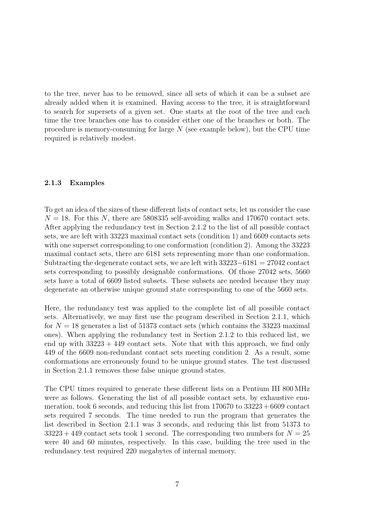to the tree, never has to be removed, since all sets of which it can be a subset are already added when it is examined. Having access to the tree, it is straightforward to search for supersets of a given set. One starts at the root of the tree and each time the tree branches one has to consider either one of the branches or both. The procedure is memory-consuming for large  $N$  (see example below), but the CPU time required is relatively modest.

#### 2.1.3 Examples

To get an idea of the sizes of these different lists of contact sets, let us consider the case  $N = 18$ . For this N, there are 5808335 self-avoiding walks and 170670 contact sets. After applying the redundancy test in Section 2.1.2 to the list of all possible contact sets, we are left with 33223 maximal contact sets (condition 1) and 6609 contacts sets with one superset corresponding to one conformation (condition 2). Among the 33223 maximal contact sets, there are 6181 sets representing more than one conformation. Subtracting the degenerate contact sets, we are left with 33223−6181 = 27042 contact sets corresponding to possibly designable conformations. Of those 27042 sets, 5660 sets have a total of 6609 listed subsets. These subsets are needed because they may degenerate an otherwise unique ground state corresponding to one of the 5660 sets.

Here, the redundancy test was applied to the complete list of all possible contact sets. Alternatively, we may first use the program described in Section 2.1.1, which for  $N = 18$  generates a list of 51373 contact sets (which contains the 33223 maximal ones). When applying the redundancy test in Section 2.1.2 to this reduced list, we end up with  $33223 + 449$  contact sets. Note that with this approach, we find only 449 of the 6609 non-redundant contact sets meeting condition 2. As a result, some conformations are erroneously found to be unique ground states. The test discussed in Section 2.1.1 removes these false unique ground states.

The CPU times required to generate these different lists on a Pentium III 800 MHz were as follows. Generating the list of all possible contact sets, by exhaustive enumeration, took 6 seconds, and reducing this list from 170670 to 33223 + 6609 contact sets required 7 seconds. The time needed to run the program that generates the list described in Section 2.1.1 was 3 seconds, and reducing this list from 51373 to  $33223 + 449$  contact sets took 1 second. The corresponding two numbers for  $N = 25$ were 40 and 60 minutes, respectively. In this case, building the tree used in the redundancy test required 220 megabytes of internal memory.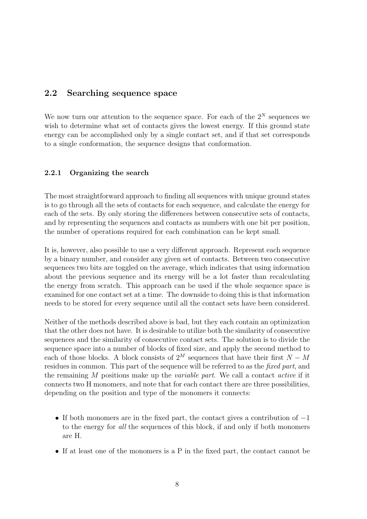## 2.2 Searching sequence space

We now turn our attention to the sequence space. For each of the  $2^N$  sequences we wish to determine what set of contacts gives the lowest energy. If this ground state energy can be accomplished only by a single contact set, and if that set corresponds to a single conformation, the sequence designs that conformation.

#### 2.2.1 Organizing the search

The most straightforward approach to finding all sequences with unique ground states is to go through all the sets of contacts for each sequence, and calculate the energy for each of the sets. By only storing the differences between consecutive sets of contacts, and by representing the sequences and contacts as numbers with one bit per position, the number of operations required for each combination can be kept small.

It is, however, also possible to use a very different approach. Represent each sequence by a binary number, and consider any given set of contacts. Between two consecutive sequences two bits are toggled on the average, which indicates that using information about the previous sequence and its energy will be a lot faster than recalculating the energy from scratch. This approach can be used if the whole sequence space is examined for one contact set at a time. The downside to doing this is that information needs to be stored for every sequence until all the contact sets have been considered.

Neither of the methods described above is bad, but they each contain an optimization that the other does not have. It is desirable to utilize both the similarity of consecutive sequences and the similarity of consecutive contact sets. The solution is to divide the sequence space into a number of blocks of fixed size, and apply the second method to each of those blocks. A block consists of  $2^M$  sequences that have their first  $N - M$ residues in common. This part of the sequence will be referred to as the *fixed part*, and the remaining  $M$  positions make up the *variable part*. We call a contact *active* if it connects two H monomers, and note that for each contact there are three possibilities, depending on the position and type of the monomers it connects:

- If both monomers are in the fixed part, the contact gives a contribution of  $-1$ to the energy for all the sequences of this block, if and only if both monomers are H.
- If at least one of the monomers is a P in the fixed part, the contact cannot be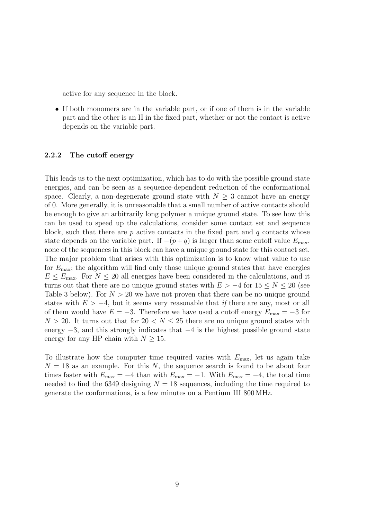active for any sequence in the block.

• If both monomers are in the variable part, or if one of them is in the variable part and the other is an H in the fixed part, whether or not the contact is active depends on the variable part.

#### 2.2.2 The cutoff energy

This leads us to the next optimization, which has to do with the possible ground state energies, and can be seen as a sequence-dependent reduction of the conformational space. Clearly, a non-degenerate ground state with  $N \geq 3$  cannot have an energy of 0. More generally, it is unreasonable that a small number of active contacts should be enough to give an arbitrarily long polymer a unique ground state. To see how this can be used to speed up the calculations, consider some contact set and sequence block, such that there are  $p$  active contacts in the fixed part and  $q$  contacts whose state depends on the variable part. If  $-(p+q)$  is larger than some cutoff value  $E_{\text{max}}$ , none of the sequences in this block can have a unique ground state for this contact set. The major problem that arises with this optimization is to know what value to use for  $E_{\text{max}}$ ; the algorithm will find only those unique ground states that have energies  $E \le E_{\text{max}}$ . For  $N \le 20$  all energies have been considered in the calculations, and it turns out that there are no unique ground states with  $E > -4$  for  $15 \le N \le 20$  (see Table 3 below). For  $N > 20$  we have not proven that there can be no unique ground states with  $E > -4$ , but it seems very reasonable that if there are any, most or all of them would have  $E = -3$ . Therefore we have used a cutoff energy  $E_{\text{max}} = -3$  for  $N > 20$ . It turns out that for  $20 < N \le 25$  there are no unique ground states with energy  $-3$ , and this strongly indicates that  $-4$  is the highest possible ground state energy for any HP chain with  $N \geq 15$ .

To illustrate how the computer time required varies with  $E_{\text{max}}$ , let us again take  $N = 18$  as an example. For this N, the sequence search is found to be about four times faster with  $E_{\text{max}} = -4$  than with  $E_{\text{max}} = -1$ . With  $E_{\text{max}} = -4$ , the total time needed to find the 6349 designing  $N = 18$  sequences, including the time required to generate the conformations, is a few minutes on a Pentium III 800 MHz.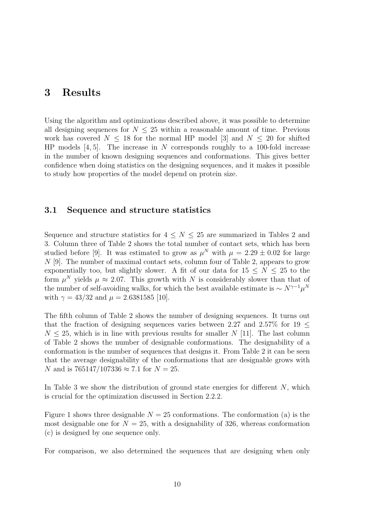## 3 Results

Using the algorithm and optimizations described above, it was possible to determine all designing sequences for  $N \leq 25$  within a reasonable amount of time. Previous work has covered  $N \leq 18$  for the normal HP model [3] and  $N \leq 20$  for shifted HP models  $[4, 5]$ . The increase in N corresponds roughly to a 100-fold increase in the number of known designing sequences and conformations. This gives better confidence when doing statistics on the designing sequences, and it makes it possible to study how properties of the model depend on protein size.

#### 3.1 Sequence and structure statistics

Sequence and structure statistics for  $4 \leq N \leq 25$  are summarized in Tables 2 and 3. Column three of Table 2 shows the total number of contact sets, which has been studied before [9]. It was estimated to grow as  $\mu^N$  with  $\mu = 2.29 \pm 0.02$  for large  $N$  [9]. The number of maximal contact sets, column four of Table 2, appears to grow exponentially too, but slightly slower. A fit of our data for  $15 \leq N \leq 25$  to the form  $\mu^N$  yields  $\mu \approx 2.07$ . This growth with N is considerably slower than that of the number of self-avoiding walks, for which the best available estimate is  $\sim N^{\gamma-1} \mu^N$ with  $\gamma = 43/32$  and  $\mu = 2.6381585$  [10].

The fifth column of Table 2 shows the number of designing sequences. It turns out that the fraction of designing sequences varies between 2.27 and 2.57% for 19  $\leq$  $N \leq 25$ , which is in line with previous results for smaller N [11]. The last column of Table 2 shows the number of designable conformations. The designability of a conformation is the number of sequences that designs it. From Table 2 it can be seen that the average designability of the conformations that are designable grows with N and is  $765147/107336 \approx 7.1$  for  $N = 25$ .

In Table 3 we show the distribution of ground state energies for different  $N$ , which is crucial for the optimization discussed in Section 2.2.2.

Figure 1 shows three designable  $N = 25$  conformations. The conformation (a) is the most designable one for  $N = 25$ , with a designability of 326, whereas conformation (c) is designed by one sequence only.

For comparison, we also determined the sequences that are designing when only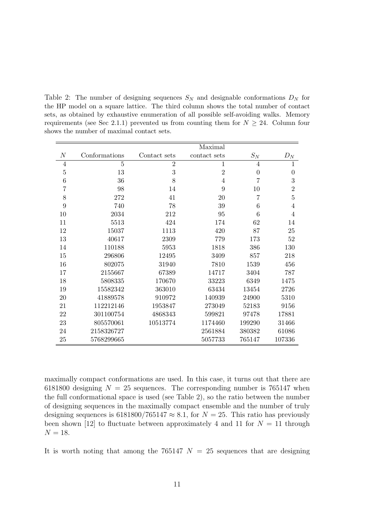Table 2: The number of designing sequences  $S_N$  and designable conformations  $D_N$  for the HP model on a square lattice. The third column shows the total number of contact sets, as obtained by exhaustive enumeration of all possible self-avoiding walks. Memory requirements (see Sec 2.1.1) prevented us from counting them for  $N \geq 24$ . Column four shows the number of maximal contact sets.

|                |               |                | Maximal        |                  |                  |
|----------------|---------------|----------------|----------------|------------------|------------------|
| $\,N$          | Conformations | Contact sets   | contact sets   | $\mathcal{S}_N$  | ${\cal D}_N$     |
| $\overline{4}$ | 5             | $\overline{2}$ | 1              | $\overline{4}$   | 1                |
| $\bf 5$        | 13            | 3              | $\overline{2}$ | $\boldsymbol{0}$ | $\overline{0}$   |
| 6              | 36            | 8              | $\overline{4}$ | $\overline{7}$   | $\boldsymbol{3}$ |
| $\overline{7}$ | 98            | 14             | 9              | 10               | $\overline{2}$   |
| 8              | 272           | 41             | 20             | $\overline{7}$   | $\bf 5$          |
| 9              | 740           | 78             | 39             | $\boldsymbol{6}$ | 4                |
| 10             | 2034          | 212            | 95             | 6                | 4                |
| 11             | 5513          | 424            | 174            | 62               | 14               |
| 12             | 15037         | 1113           | 420            | 87               | 25               |
| 13             | 40617         | 2309           | 779            | 173              | 52               |
| 14             | 110188        | 5953           | 1818           | 386              | 130              |
| 15             | 296806        | 12495          | 3409           | 857              | 218              |
| 16             | 802075        | 31940          | 7810           | 1539             | 456              |
| 17             | 2155667       | 67389          | 14717          | 3404             | 787              |
| 18             | 5808335       | 170670         | 33223          | 6349             | 1475             |
| 19             | 15582342      | 363010         | 63434          | 13454            | 2726             |
| 20             | 41889578      | 910972         | 140939         | 24900            | 5310             |
| 21             | 112212146     | 1953847        | 273049         | 52183            | 9156             |
| 22             | 301100754     | 4868343        | 599821         | 97478            | 17881            |
| 23             | 805570061     | 10513774       | 1174460        | 199290           | 31466            |
| 24             | 2158326727    |                | 2561884        | 380382           | 61086            |
| 25             | 5768299665    |                | 5057733        | 765147           | 107336           |

maximally compact conformations are used. In this case, it turns out that there are 6181800 designing  $N = 25$  sequences. The corresponding number is 765147 when the full conformational space is used (see Table 2), so the ratio between the number of designing sequences in the maximally compact ensemble and the number of truly designing sequences is 6181800/765147  $\approx$  8.1, for  $N = 25$ . This ratio has previously been shown [12] to fluctuate between approximately 4 and 11 for  $N = 11$  through  $N = 18$ .

It is worth noting that among the 765147  $N = 25$  sequences that are designing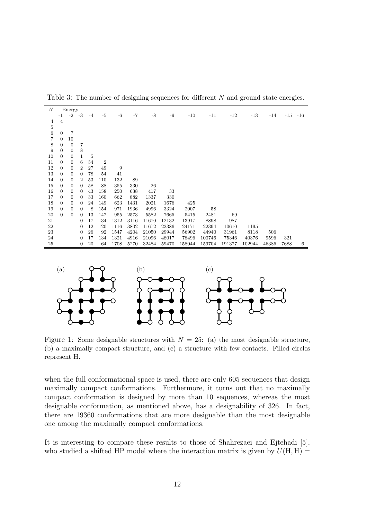| $\boldsymbol{N}$ | Energy         |                |                |      |                |      |      |       |       |        |        |        |        |       |       |       |
|------------------|----------------|----------------|----------------|------|----------------|------|------|-------|-------|--------|--------|--------|--------|-------|-------|-------|
|                  | -1             |                | $-2 -3$        | $-4$ | $-5$           | $-6$ | $-7$ | $-8$  | -9    | $-10$  | -11    | $-12$  | $-13$  | -14   | $-15$ | $-16$ |
| 4                | 4              |                |                |      |                |      |      |       |       |        |        |        |        |       |       |       |
| $\bf 5$          |                |                |                |      |                |      |      |       |       |        |        |        |        |       |       |       |
| $\,6$            | $\overline{0}$ | 7              |                |      |                |      |      |       |       |        |        |        |        |       |       |       |
| $\overline{7}$   | $\Omega$       | 10             |                |      |                |      |      |       |       |        |        |        |        |       |       |       |
| 8                | $\theta$       | $\overline{0}$ | 7              |      |                |      |      |       |       |        |        |        |        |       |       |       |
| 9                | $\theta$       | $\overline{0}$ | 8              |      |                |      |      |       |       |        |        |        |        |       |       |       |
| 10               | $\Omega$       | $\overline{0}$ | 1              | 5    |                |      |      |       |       |        |        |        |        |       |       |       |
| 11               | $\mathbf{0}$   | $\mathbf{0}$   | 6              | 54   | $\overline{2}$ |      |      |       |       |        |        |        |        |       |       |       |
| 12               | $\Omega$       | $\mathbf{0}$   | $\overline{2}$ | 27   | 49             | 9    |      |       |       |        |        |        |        |       |       |       |
| 13               | $\theta$       | $\overline{0}$ | $\theta$       | 78   | 54             | 41   |      |       |       |        |        |        |        |       |       |       |
| 14               | $\theta$       | $\overline{0}$ | $\overline{2}$ | 53   | 110            | 132  | 89   |       |       |        |        |        |        |       |       |       |
| 15               | $\theta$       | $\overline{0}$ | $\overline{0}$ | 58   | 88             | 355  | 330  | 26    |       |        |        |        |        |       |       |       |
| 16               | $\theta$       | $\overline{0}$ | $\overline{0}$ | 43   | 158            | 250  | 638  | 417   | 33    |        |        |        |        |       |       |       |
| 17               | $\overline{0}$ | $\overline{0}$ | $\overline{0}$ | 33   | 160            | 662  | 882  | 1337  | 330   |        |        |        |        |       |       |       |
| 18               | $\overline{0}$ | $\overline{0}$ | $\overline{0}$ | 24   | 149            | 623  | 1431 | 2021  | 1676  | 425    |        |        |        |       |       |       |
| 19               | $\overline{0}$ | $\overline{0}$ | $\overline{0}$ | 8    | 154            | 971  | 1936 | 4996  | 3324  | 2007   | 58     |        |        |       |       |       |
| 20               | $\Omega$       | $\mathbf{0}$   | $\overline{0}$ | 13   | 147            | 955  | 2573 | 5582  | 7665  | 5415   | 2481   | 69     |        |       |       |       |
| 21               |                |                | $\overline{0}$ | 17   | 134            | 1312 | 3116 | 11670 | 12132 | 13917  | 8898   | 987    |        |       |       |       |
| 22               |                |                | $\overline{0}$ | 12   | 120            | 1116 | 3802 | 11672 | 22386 | 24171  | 22394  | 10610  | 1195   |       |       |       |
| 23               |                |                | $\overline{0}$ | 26   | 92             | 1547 | 4204 | 21050 | 29944 | 56902  | 44940  | 31961  | 8118   | 506   |       |       |
| 24               |                |                | $\overline{0}$ | 17   | 134            | 1321 | 4916 | 21096 | 48017 | 78496  | 100746 | 75346  | 40376  | 9596  | 321   |       |
| 25               |                |                | 0              | 20   | 64             | 1708 | 5270 | 32484 | 59470 | 158044 | 159704 | 191377 | 102944 | 46386 | 7688  | 6     |

Table 3: The number of designing sequences for different N and ground state energies.



Figure 1: Some designable structures with  $N = 25$ : (a) the most designable structure, (b) a maximally compact structure, and (c) a structure with few contacts. Filled circles represent H.

when the full conformational space is used, there are only 605 sequences that design maximally compact conformations. Furthermore, it turns out that no maximally compact conformation is designed by more than 10 sequences, whereas the most designable conformation, as mentioned above, has a designability of 326. In fact, there are 19360 conformations that are more designable than the most designable one among the maximally compact conformations.

It is interesting to compare these results to those of Shahrezaei and Ejtehadi [5], who studied a shifted HP model where the interaction matrix is given by  $U(H, H) =$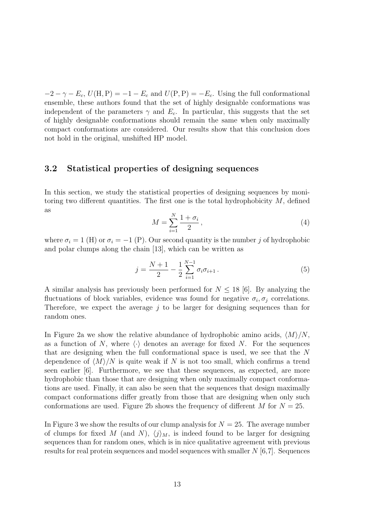$-2 - \gamma - E_c$ ,  $U(H, P) = -1 - E_c$  and  $U(P, P) = -E_c$ . Using the full conformational ensemble, these authors found that the set of highly designable conformations was independent of the parameters  $\gamma$  and  $E_c$ . In particular, this suggests that the set of highly designable conformations should remain the same when only maximally compact conformations are considered. Our results show that this conclusion does not hold in the original, unshifted HP model.

## 3.2 Statistical properties of designing sequences

In this section, we study the statistical properties of designing sequences by monitoring two different quantities. The first one is the total hydrophobicity  $M$ , defined as

$$
M = \sum_{i=1}^{N} \frac{1 + \sigma_i}{2},
$$
\n(4)

where  $\sigma_i = 1$  (H) or  $\sigma_i = -1$  (P). Our second quantity is the number j of hydrophobic and polar clumps along the chain [13], which can be written as

$$
j = \frac{N+1}{2} - \frac{1}{2} \sum_{i=1}^{N-1} \sigma_i \sigma_{i+1}.
$$
 (5)

A similar analysis has previously been performed for  $N \leq 18$  [6]. By analyzing the fluctuations of block variables, evidence was found for negative  $\sigma_i, \sigma_j$  correlations. Therefore, we expect the average  $j$  to be larger for designing sequences than for random ones.

In Figure 2a we show the relative abundance of hydrophobic amino acids,  $\langle M \rangle/N$ , as a function of N, where  $\langle \cdot \rangle$  denotes an average for fixed N. For the sequences that are designing when the full conformational space is used, we see that the N dependence of  $\langle M \rangle/N$  is quite weak if N is not too small, which confirms a trend seen earlier [6]. Furthermore, we see that these sequences, as expected, are more hydrophobic than those that are designing when only maximally compact conformations are used. Finally, it can also be seen that the sequences that design maximally compact conformations differ greatly from those that are designing when only such conformations are used. Figure 2b shows the frequency of different M for  $N = 25$ .

In Figure 3 we show the results of our clump analysis for  $N = 25$ . The average number of clumps for fixed M (and N),  $\langle j \rangle_M$ , is indeed found to be larger for designing sequences than for random ones, which is in nice qualitative agreement with previous results for real protein sequences and model sequences with smaller  $N(6,7)$ . Sequences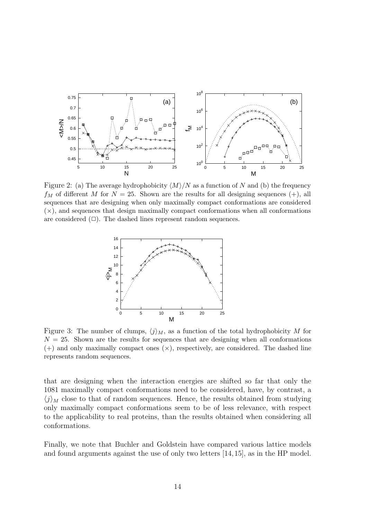

Figure 2: (a) The average hydrophobicity  $\langle M \rangle/N$  as a function of N and (b) the frequency  $f_M$  of different M for  $N = 25$ . Shown are the results for all designing sequences  $(+)$ , all sequences that are designing when only maximally compact conformations are considered  $(x)$ , and sequences that design maximally compact conformations when all conformations are considered  $(\Box)$ . The dashed lines represent random sequences.



Figure 3: The number of clumps,  $\langle j \rangle_M$ , as a function of the total hydrophobicity M for  $N = 25$ . Shown are the results for sequences that are designing when all conformations  $(+)$  and only maximally compact ones  $(\times)$ , respectively, are considered. The dashed line represents random sequences.

that are designing when the interaction energies are shifted so far that only the 1081 maximally compact conformations need to be considered, have, by contrast, a  $\langle j \rangle_M$  close to that of random sequences. Hence, the results obtained from studying only maximally compact conformations seem to be of less relevance, with respect to the applicability to real proteins, than the results obtained when considering all conformations.

Finally, we note that Buchler and Goldstein have compared various lattice models and found arguments against the use of only two letters [14,15], as in the HP model.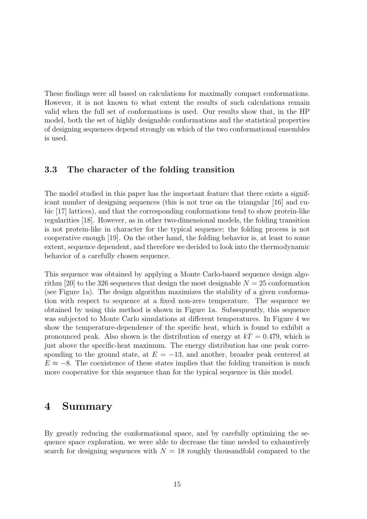These findings were all based on calculations for maximally compact conformations. However, it is not known to what extent the results of such calculations remain valid when the full set of conformations is used. Our results show that, in the HP model, both the set of highly designable conformations and the statistical properties of designing sequences depend strongly on which of the two conformational ensembles is used.

### 3.3 The character of the folding transition

The model studied in this paper has the important feature that there exists a significant number of designing sequences (this is not true on the triangular [16] and cubic [17] lattices), and that the corresponding conformations tend to show protein-like regularities [18]. However, as in other two-dimensional models, the folding transition is not protein-like in character for the typical sequence; the folding process is not cooperative enough [19]. On the other hand, the folding behavior is, at least to some extent, sequence dependent, and therefore we decided to look into the thermodynamic behavior of a carefully chosen sequence.

This sequence was obtained by applying a Monte Carlo-based sequence design algorithm [20] to the 326 sequences that design the most designable  $N = 25$  conformation (see Figure 1a). The design algorithm maximizes the stability of a given conformation with respect to sequence at a fixed non-zero temperature. The sequence we obtained by using this method is shown in Figure 1a. Subsequently, this sequence was subjected to Monte Carlo simulations at different temperatures. In Figure 4 we show the temperature-dependence of the specific heat, which is found to exhibit a pronounced peak. Also shown is the distribution of energy at  $kT = 0.479$ , which is just above the specific-heat maximum. The energy distribution has one peak corresponding to the ground state, at  $E = -13$ , and another, broader peak centered at  $E \approx -8$ . The coexistence of these states implies that the folding transition is much more cooperative for this sequence than for the typical sequence in this model.

## 4 Summary

By greatly reducing the conformational space, and by carefully optimizing the sequence space exploration, we were able to decrease the time needed to exhaustively search for designing sequences with  $N = 18$  roughly thousandfold compared to the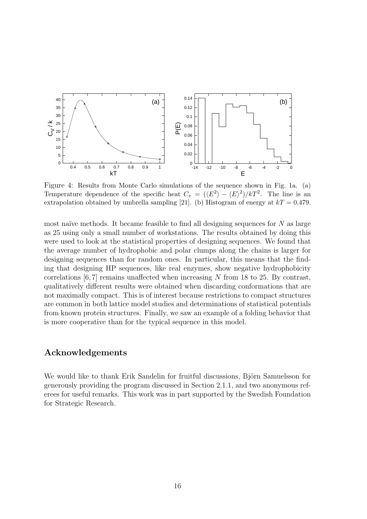

Figure 4: Results from Monte Carlo simulations of the sequence shown in Fig. 1a. (a) Temperature dependence of the specific heat  $C_v = (\langle E^2 \rangle - \langle E \rangle^2)/kT^2$ . The line is an extrapolation obtained by umbrella sampling [21]. (b) Histogram of energy at  $kT = 0.479$ .

most naïve methods. It became feasible to find all designing sequences for  $N$  as large as 25 using only a small number of workstations. The results obtained by doing this were used to look at the statistical properties of designing sequences. We found that the average number of hydrophobic and polar clumps along the chains is larger for designing sequences than for random ones. In particular, this means that the finding that designing HP sequences, like real enzymes, show negative hydrophobicity correlations  $[6, 7]$  remains unaffected when increasing N from 18 to 25. By contrast, qualitatively different results were obtained when discarding conformations that are not maximally compact. This is of interest because restrictions to compact structures are common in both lattice model studies and determinations of statistical potentials from known protein structures. Finally, we saw an example of a folding behavior that is more cooperative than for the typical sequence in this model.

#### Acknowledgements

We would like to thank Erik Sandelin for fruitful discussions, Björn Samuelsson for generously providing the program discussed in Section 2.1.1, and two anonymous referees for useful remarks. This work was in part supported by the Swedish Foundation for Strategic Research.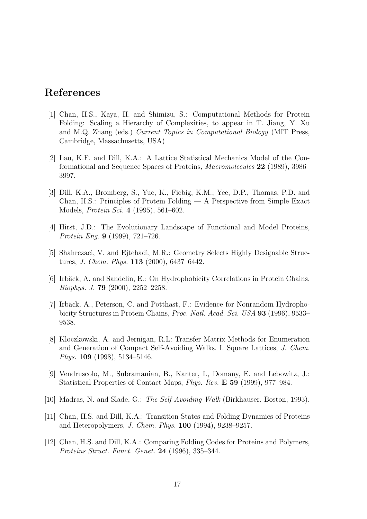# References

- [1] Chan, H.S., Kaya, H. and Shimizu, S.: Computational Methods for Protein Folding: Scaling a Hierarchy of Complexities, to appear in T. Jiang, Y. Xu and M.Q. Zhang (eds.) Current Topics in Computational Biology (MIT Press, Cambridge, Massachusetts, USA)
- [2] Lau, K.F. and Dill, K.A.: A Lattice Statistical Mechanics Model of the Conformational and Sequence Spaces of Proteins, Macromolecules 22 (1989), 3986– 3997.
- [3] Dill, K.A., Bromberg, S., Yue, K., Fiebig, K.M., Yee, D.P., Thomas, P.D. and Chan, H.S.: Principles of Protein Folding — A Perspective from Simple Exact Models, Protein Sci. 4 (1995), 561–602.
- [4] Hirst, J.D.: The Evolutionary Landscape of Functional and Model Proteins, Protein Eng. 9 (1999), 721–726.
- [5] Shahrezaei, V. and Ejtehadi, M.R.: Geometry Selects Highly Designable Structures, J. Chem. Phys. 113 (2000), 6437–6442.
- [6] Irbäck, A. and Sandelin, E.: On Hydrophobicity Correlations in Protein Chains, Biophys. J. 79 (2000), 2252–2258.
- [7] Irbäck, A., Peterson, C. and Potthast, F.: Evidence for Nonrandom Hydrophobicity Structures in Protein Chains, Proc. Natl. Acad. Sci. USA 93 (1996), 9533– 9538.
- [8] Kloczkowski, A. and Jernigan, R.L: Transfer Matrix Methods for Enumeration and Generation of Compact Self-Avoiding Walks. I. Square Lattices, J. Chem. Phys. 109 (1998), 5134–5146.
- [9] Vendruscolo, M., Subramanian, B., Kanter, I., Domany, E. and Lebowitz, J.: Statistical Properties of Contact Maps, Phys. Rev. E 59 (1999), 977–984.
- [10] Madras, N. and Slade, G.: The Self-Avoiding Walk (Birkhauser, Boston, 1993).
- [11] Chan, H.S. and Dill, K.A.: Transition States and Folding Dynamics of Proteins and Heteropolymers, J. Chem. Phys. 100 (1994), 9238–9257.
- [12] Chan, H.S. and Dill, K.A.: Comparing Folding Codes for Proteins and Polymers, Proteins Struct. Funct. Genet. 24 (1996), 335–344.